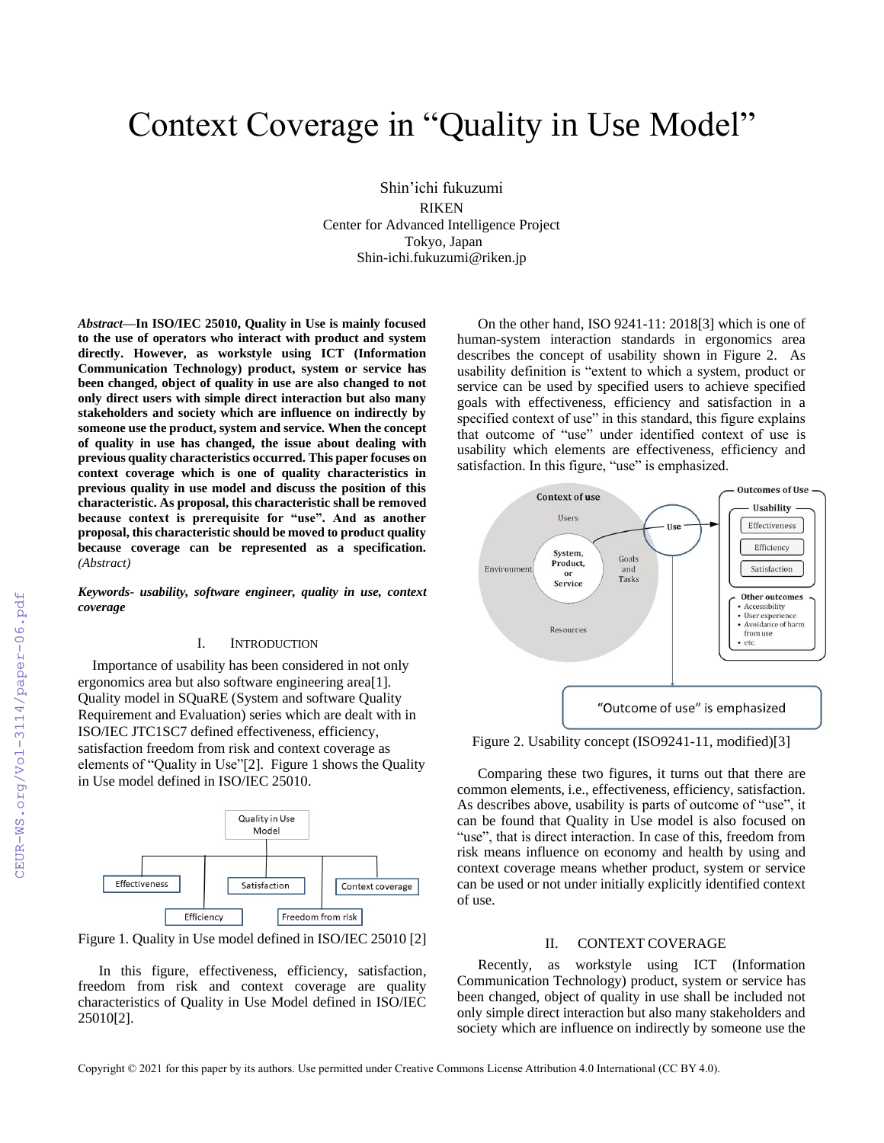# Context Coverage in "Quality in Use Model"

Shin'ichi fukuzumi RIKEN Center for Advanced Intelligence Project Tokyo, Japan Shin-ichi.fukuzumi@riken.jp

*Abstract***—In ISO/IEC 25010, Quality in Use is mainly focused to the use of operators who interact with product and system directly. However, as workstyle using ICT (Information Communication Technology) product, system or service has been changed, object of quality in use are also changed to not only direct users with simple direct interaction but also many stakeholders and society which are influence on indirectly by someone use the product, system and service. When the concept of quality in use has changed, the issue about dealing with previous quality characteristics occurred. This paper focuses on context coverage which is one of quality characteristics in previous quality in use model and discuss the position of this characteristic. As proposal, this characteristic shall be removed because context is prerequisite for "use". And as another proposal, this characteristic should be moved to product quality because coverage can be represented as a specification.**  *(Abstract)*

*Keywords- usability, software engineer, quality in use, context coverage*

## I. INTRODUCTION

Importance of usability has been considered in not only ergonomics area but also software engineering area[1]. Quality model in SQuaRE (System and software Quality Requirement and Evaluation) series which are dealt with in ISO/IEC JTC1SC7 defined effectiveness, efficiency, satisfaction freedom from risk and context coverage as elements of "Quality in Use"[2]. Figure 1 shows the Quality in Use model defined in ISO/IEC 25010.



Figure 1. Quality in Use model defined in ISO/IEC 25010 [2]

In this figure, effectiveness, efficiency, satisfaction, freedom from risk and context coverage are quality characteristics of Quality in Use Model defined in ISO/IEC 25010[2].

On the other hand, ISO 9241-11: 2018[3] which is one of human-system interaction standards in ergonomics area describes the concept of usability shown in Figure 2. As usability definition is "extent to which a system, product or service can be used by specified users to achieve specified goals with effectiveness, efficiency and satisfaction in a specified context of use" in this standard, this figure explains that outcome of "use" under identified context of use is usability which elements are effectiveness, efficiency and satisfaction. In this figure, "use" is emphasized.



Figure 2. Usability concept (ISO9241-11, modified)[3]

Comparing these two figures, it turns out that there are common elements, i.e., effectiveness, efficiency, satisfaction. As describes above, usability is parts of outcome of "use", it can be found that Quality in Use model is also focused on "use", that is direct interaction. In case of this, freedom from risk means influence on economy and health by using and context coverage means whether product, system or service can be used or not under initially explicitly identified context of use.

### II. CONTEXT COVERAGE

Recently, as workstyle using ICT (Information Communication Technology) product, system or service has been changed, object of quality in use shall be included not only simple direct interaction but also many stakeholders and society which are influence on indirectly by someone use the

Copyright © 2021 for this paper by its authors. Use permitted under Creative Commons License Attribution 4.0 International (CC BY 4.0).